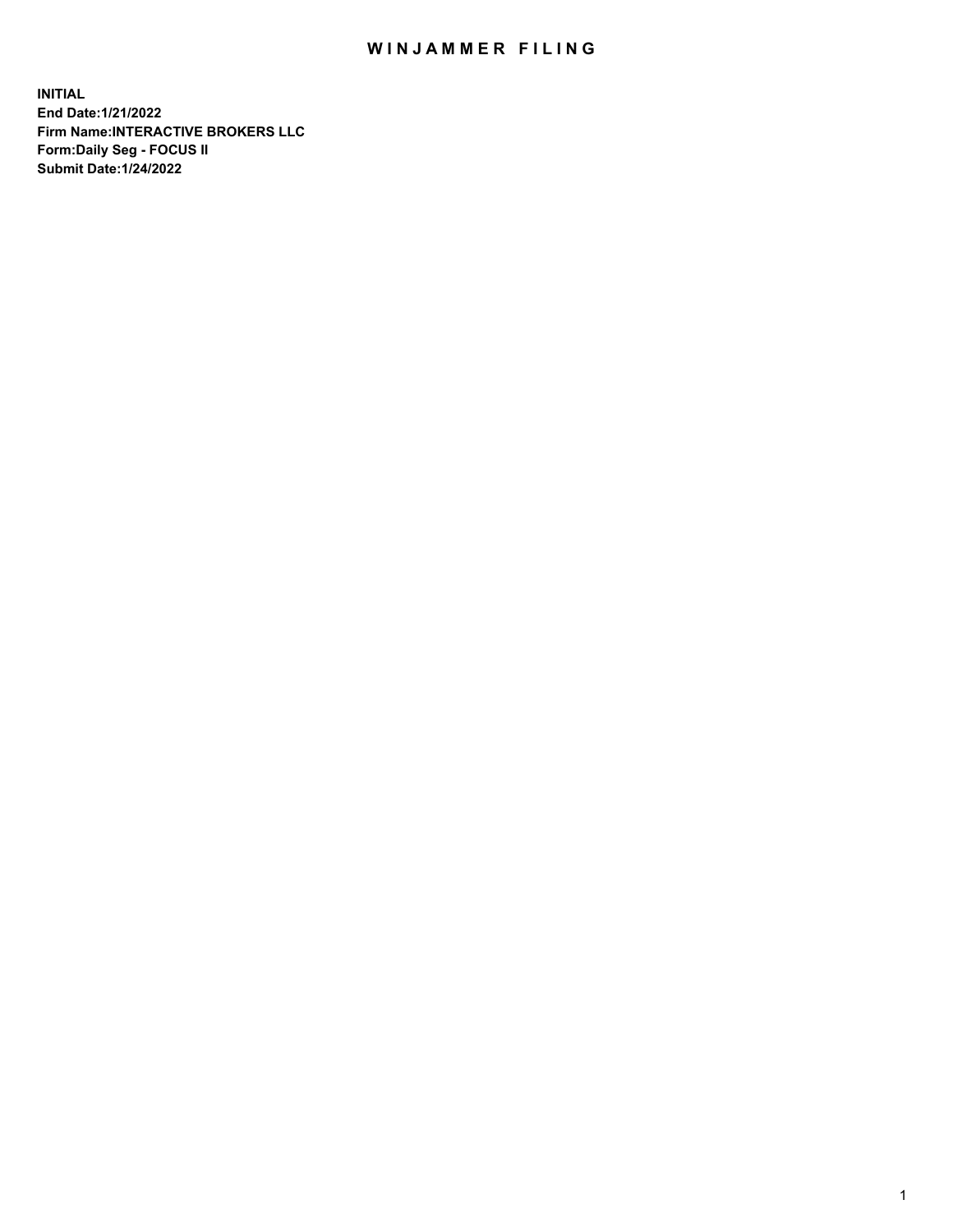## WIN JAMMER FILING

**INITIAL End Date:1/21/2022 Firm Name:INTERACTIVE BROKERS LLC Form:Daily Seg - FOCUS II Submit Date:1/24/2022**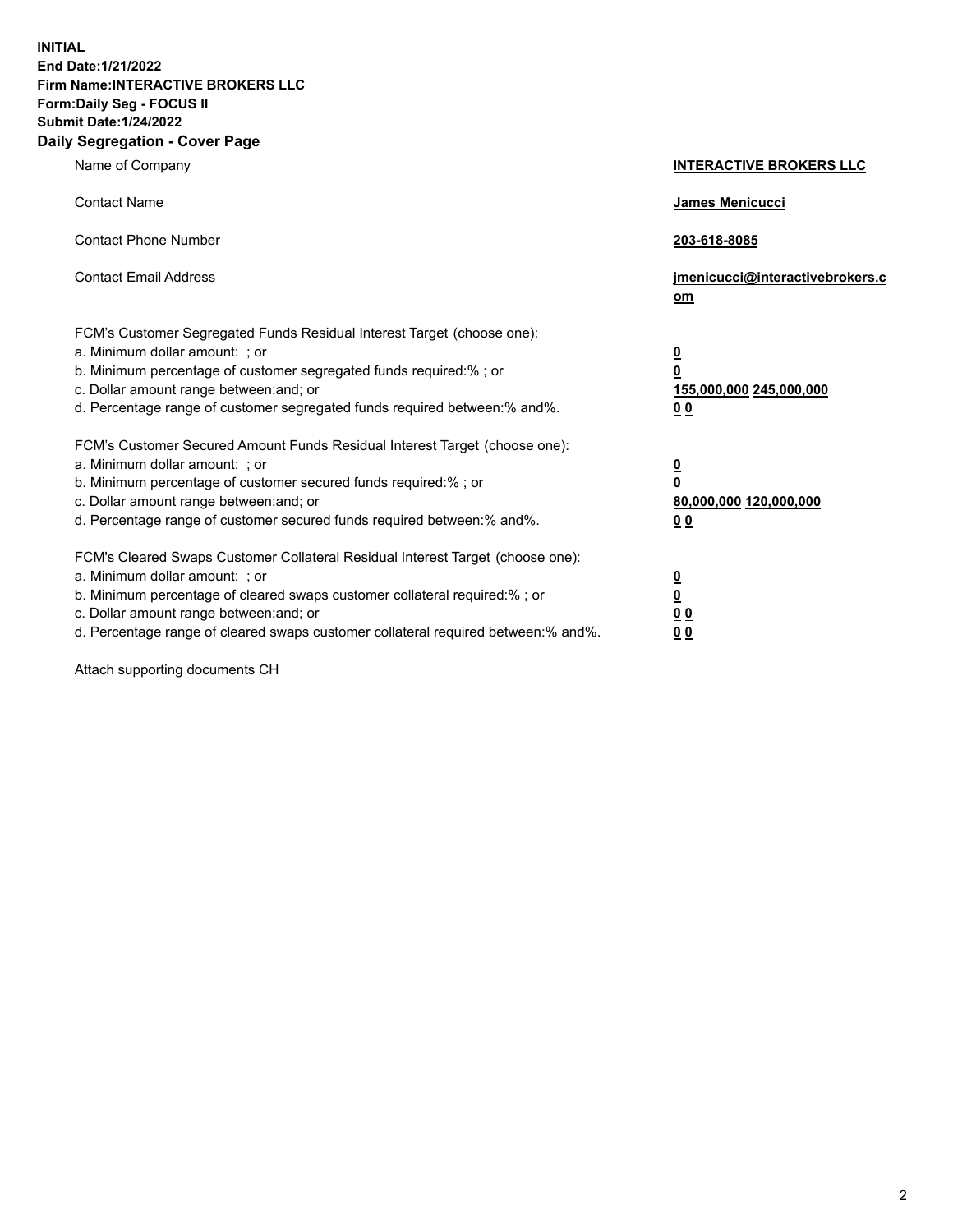**INITIAL End Date:1/21/2022 Firm Name:INTERACTIVE BROKERS LLC Form:Daily Seg - FOCUS II Submit Date:1/24/2022 Daily Segregation - Cover Page**

| Name of Company                                                                                                                                                                                                                                                                                                               | <b>INTERACTIVE BROKERS LLC</b>                                                                  |  |
|-------------------------------------------------------------------------------------------------------------------------------------------------------------------------------------------------------------------------------------------------------------------------------------------------------------------------------|-------------------------------------------------------------------------------------------------|--|
| <b>Contact Name</b>                                                                                                                                                                                                                                                                                                           | James Menicucci                                                                                 |  |
| <b>Contact Phone Number</b>                                                                                                                                                                                                                                                                                                   | 203-618-8085                                                                                    |  |
| <b>Contact Email Address</b>                                                                                                                                                                                                                                                                                                  | jmenicucci@interactivebrokers.c<br><u>om</u>                                                    |  |
| FCM's Customer Segregated Funds Residual Interest Target (choose one):<br>a. Minimum dollar amount: ; or<br>b. Minimum percentage of customer segregated funds required:% ; or<br>c. Dollar amount range between: and; or<br>d. Percentage range of customer segregated funds required between:% and%.                        | $\overline{\mathbf{0}}$<br>$\overline{\mathbf{0}}$<br>155,000,000 245,000,000<br>0 <sub>0</sub> |  |
| FCM's Customer Secured Amount Funds Residual Interest Target (choose one):<br>a. Minimum dollar amount: ; or<br>b. Minimum percentage of customer secured funds required:%; or<br>c. Dollar amount range between: and; or<br>d. Percentage range of customer secured funds required between:% and%.                           | $\overline{\mathbf{0}}$<br>$\overline{\mathbf{0}}$<br>80,000,000 120,000,000<br>0 <sub>0</sub>  |  |
| FCM's Cleared Swaps Customer Collateral Residual Interest Target (choose one):<br>a. Minimum dollar amount: ; or<br>b. Minimum percentage of cleared swaps customer collateral required:%; or<br>c. Dollar amount range between: and; or<br>d. Percentage range of cleared swaps customer collateral required between:% and%. | $\overline{\mathbf{0}}$<br>$\overline{\mathbf{0}}$<br>0 <sub>0</sub><br>0 <sub>0</sub>          |  |

Attach supporting documents CH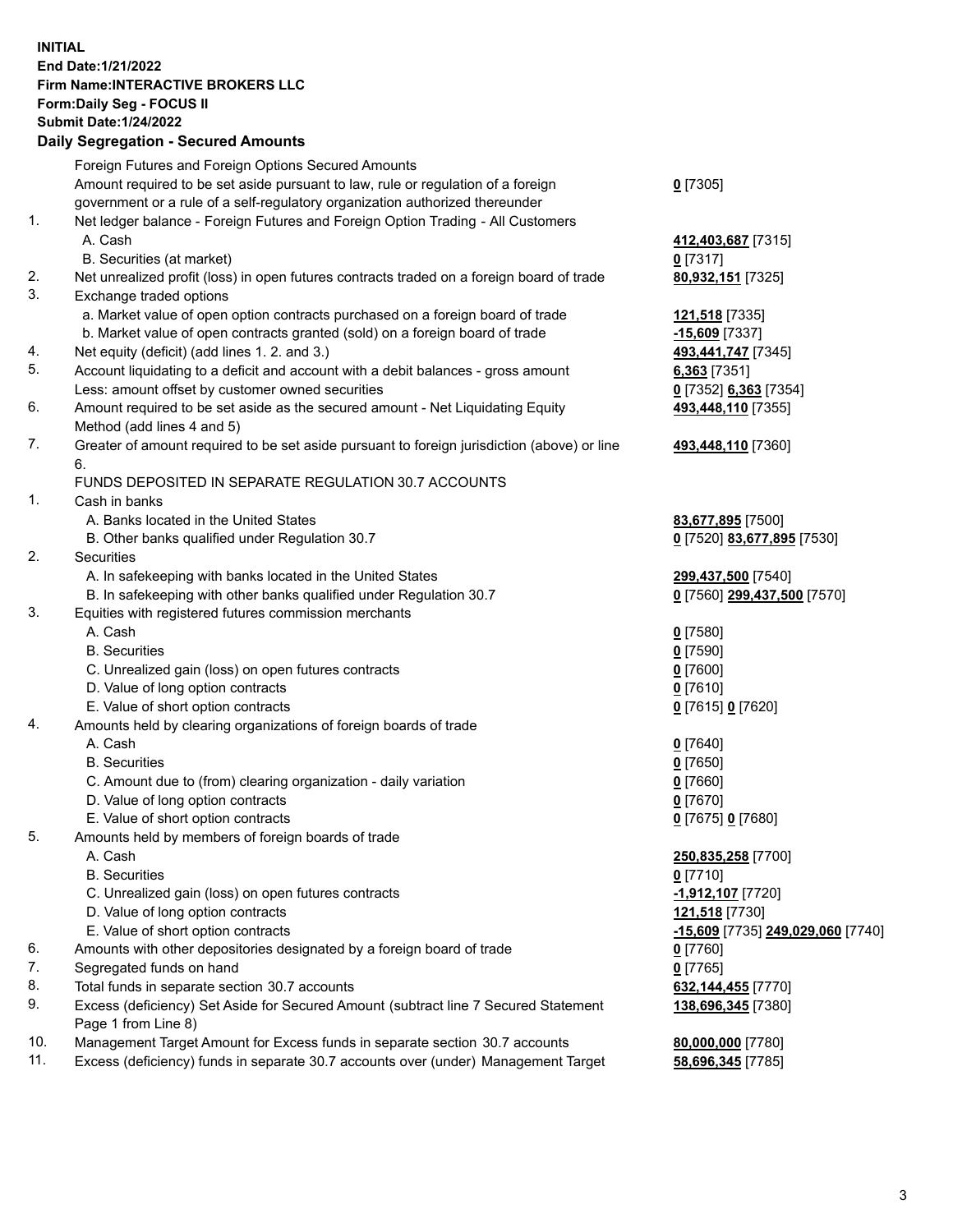**INITIAL End Date:1/21/2022 Firm Name:INTERACTIVE BROKERS LLC Form:Daily Seg - FOCUS II Submit Date:1/24/2022 Daily Segregation - Secured Amounts**

## Foreign Futures and Foreign Options Secured Amounts Amount required to be set aside pursuant to law, rule or regulation of a foreign government or a rule of a self-regulatory organization authorized thereunder **0** [7305] 1. Net ledger balance - Foreign Futures and Foreign Option Trading - All Customers A. Cash **412,403,687** [7315] B. Securities (at market) **0** [7317] 2. Net unrealized profit (loss) in open futures contracts traded on a foreign board of trade **80,932,151** [7325] 3. Exchange traded options a. Market value of open option contracts purchased on a foreign board of trade **121,518** [7335] b. Market value of open contracts granted (sold) on a foreign board of trade **-15,609** [7337] 4. Net equity (deficit) (add lines 1. 2. and 3.) **493,441,747** [7345] 5. Account liquidating to a deficit and account with a debit balances - gross amount **6,363** [7351] Less: amount offset by customer owned securities **0** [7352] **6,363** [7354] 6. Amount required to be set aside as the secured amount - Net Liquidating Equity Method (add lines 4 and 5) **493,448,110** [7355] 7. Greater of amount required to be set aside pursuant to foreign jurisdiction (above) or line 6. **493,448,110** [7360] FUNDS DEPOSITED IN SEPARATE REGULATION 30.7 ACCOUNTS 1. Cash in banks A. Banks located in the United States **83,677,895** [7500] B. Other banks qualified under Regulation 30.7 **0** [7520] **83,677,895** [7530] 2. Securities A. In safekeeping with banks located in the United States **299,437,500** [7540] B. In safekeeping with other banks qualified under Regulation 30.7 **0** [7560] **299,437,500** [7570] 3. Equities with registered futures commission merchants A. Cash **0** [7580] B. Securities **0** [7590] C. Unrealized gain (loss) on open futures contracts **0** [7600] D. Value of long option contracts **0** [7610] E. Value of short option contracts **0** [7615] **0** [7620] 4. Amounts held by clearing organizations of foreign boards of trade A. Cash **0** [7640] B. Securities **0** [7650] C. Amount due to (from) clearing organization - daily variation **0** [7660] D. Value of long option contracts **0** [7670] E. Value of short option contracts **0** [7675] **0** [7680] 5. Amounts held by members of foreign boards of trade A. Cash **250,835,258** [7700] B. Securities **0** [7710] C. Unrealized gain (loss) on open futures contracts **-1,912,107** [7720] D. Value of long option contracts **121,518** [7730] E. Value of short option contracts **-15,609** [7735] **249,029,060** [7740] 6. Amounts with other depositories designated by a foreign board of trade **0** [7760] 7. Segregated funds on hand **0** [7765] 8. Total funds in separate section 30.7 accounts **632,144,455** [7770] 9. Excess (deficiency) Set Aside for Secured Amount (subtract line 7 Secured Statement Page 1 from Line 8) **138,696,345** [7380] 10. Management Target Amount for Excess funds in separate section 30.7 accounts **80,000,000** [7780] 11. Excess (deficiency) funds in separate 30.7 accounts over (under) Management Target **58,696,345** [7785]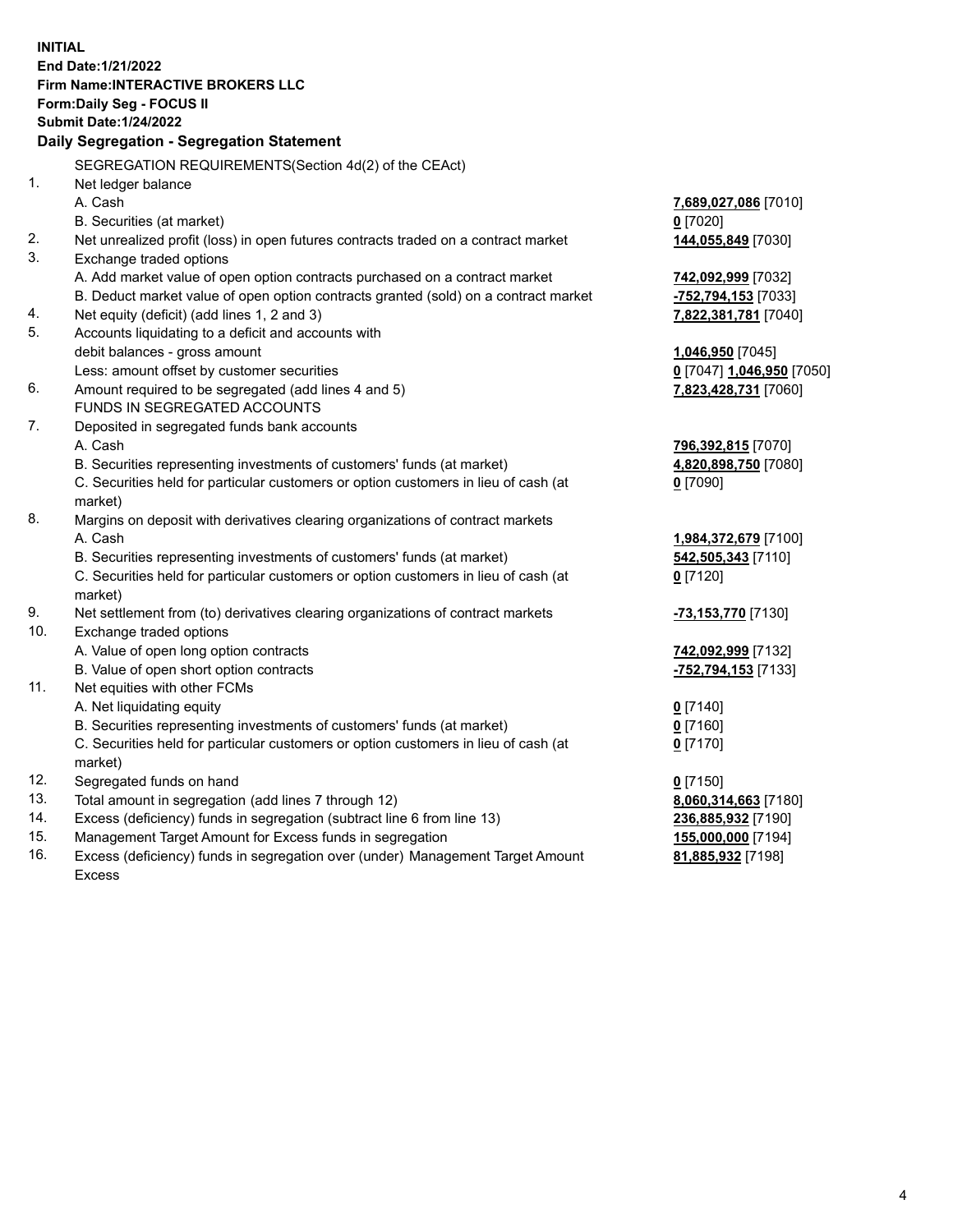**INITIAL End Date:1/21/2022 Firm Name:INTERACTIVE BROKERS LLC Form:Daily Seg - FOCUS II Submit Date:1/24/2022 Daily Segregation - Segregation Statement** SEGREGATION REQUIREMENTS(Section 4d(2) of the CEAct) 1. Net ledger balance A. Cash **7,689,027,086** [7010] B. Securities (at market) **0** [7020] 2. Net unrealized profit (loss) in open futures contracts traded on a contract market **144,055,849** [7030] 3. Exchange traded options A. Add market value of open option contracts purchased on a contract market **742,092,999** [7032] B. Deduct market value of open option contracts granted (sold) on a contract market **-752,794,153** [7033] 4. Net equity (deficit) (add lines 1, 2 and 3) **7,822,381,781** [7040] 5. Accounts liquidating to a deficit and accounts with debit balances - gross amount **1,046,950** [7045] Less: amount offset by customer securities **0** [7047] **1,046,950** [7050] 6. Amount required to be segregated (add lines 4 and 5) **7,823,428,731** [7060] FUNDS IN SEGREGATED ACCOUNTS 7. Deposited in segregated funds bank accounts A. Cash **796,392,815** [7070] B. Securities representing investments of customers' funds (at market) **4,820,898,750** [7080] C. Securities held for particular customers or option customers in lieu of cash (at market) **0** [7090] 8. Margins on deposit with derivatives clearing organizations of contract markets A. Cash **1,984,372,679** [7100] B. Securities representing investments of customers' funds (at market) **542,505,343** [7110] C. Securities held for particular customers or option customers in lieu of cash (at market) **0** [7120] 9. Net settlement from (to) derivatives clearing organizations of contract markets **-73,153,770** [7130] 10. Exchange traded options A. Value of open long option contracts **742,092,999** [7132] B. Value of open short option contracts **-752,794,153** [7133] 11. Net equities with other FCMs A. Net liquidating equity **0** [7140] B. Securities representing investments of customers' funds (at market) **0** [7160] C. Securities held for particular customers or option customers in lieu of cash (at market) **0** [7170] 12. Segregated funds on hand **0** [7150] 13. Total amount in segregation (add lines 7 through 12) **8,060,314,663** [7180] 14. Excess (deficiency) funds in segregation (subtract line 6 from line 13) **236,885,932** [7190] 15. Management Target Amount for Excess funds in segregation **155,000,000** [7194]

16. Excess (deficiency) funds in segregation over (under) Management Target Amount Excess

**81,885,932** [7198]